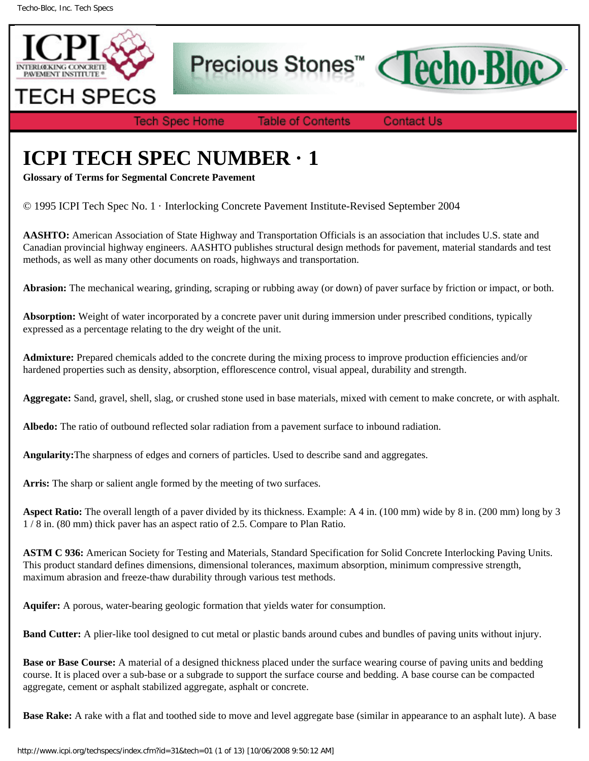

Precious Stones<sup>™</sup>



**Tech Spec Home** 

**Table of Contents** 

**Contact Us** 

## **ICPI TECH SPEC NUMBER · 1**

**Glossary of Terms for Segmental Concrete Pavement**

© 1995 ICPI Tech Spec No. 1 · Interlocking Concrete Pavement Institute-Revised September 2004

**AASHTO:** American Association of State Highway and Transportation Officials is an association that includes U.S. state and Canadian provincial highway engineers. AASHTO publishes structural design methods for pavement, material standards and test methods, as well as many other documents on roads, highways and transportation.

**Abrasion:** The mechanical wearing, grinding, scraping or rubbing away (or down) of paver surface by friction or impact, or both.

**Absorption:** Weight of water incorporated by a concrete paver unit during immersion under prescribed conditions, typically expressed as a percentage relating to the dry weight of the unit.

**Admixture:** Prepared chemicals added to the concrete during the mixing process to improve production efficiencies and/or hardened properties such as density, absorption, efflorescence control, visual appeal, durability and strength.

**Aggregate:** Sand, gravel, shell, slag, or crushed stone used in base materials, mixed with cement to make concrete, or with asphalt.

**Albedo:** The ratio of outbound reflected solar radiation from a pavement surface to inbound radiation.

**Angularity:**The sharpness of edges and corners of particles. Used to describe sand and aggregates.

**Arris:** The sharp or salient angle formed by the meeting of two surfaces.

**Aspect Ratio:** The overall length of a paver divided by its thickness. Example: A 4 in. (100 mm) wide by 8 in. (200 mm) long by 3 1 / 8 in. (80 mm) thick paver has an aspect ratio of 2.5. Compare to Plan Ratio.

**ASTM C 936:** American Society for Testing and Materials, Standard Specification for Solid Concrete Interlocking Paving Units. This product standard defines dimensions, dimensional tolerances, maximum absorption, minimum compressive strength, maximum abrasion and freeze-thaw durability through various test methods.

**Aquifer:** A porous, water-bearing geologic formation that yields water for consumption.

**Band Cutter:** A plier-like tool designed to cut metal or plastic bands around cubes and bundles of paving units without injury.

**Base or Base Course:** A material of a designed thickness placed under the surface wearing course of paving units and bedding course. It is placed over a sub-base or a subgrade to support the surface course and bedding. A base course can be compacted aggregate, cement or asphalt stabilized aggregate, asphalt or concrete.

**Base Rake:** A rake with a flat and toothed side to move and level aggregate base (similar in appearance to an asphalt lute). A base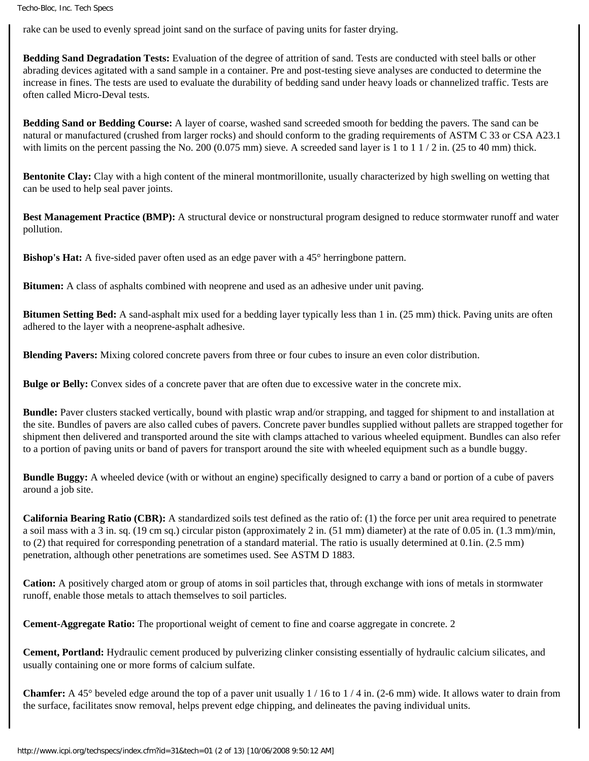rake can be used to evenly spread joint sand on the surface of paving units for faster drying.

**Bedding Sand Degradation Tests:** Evaluation of the degree of attrition of sand. Tests are conducted with steel balls or other abrading devices agitated with a sand sample in a container. Pre and post-testing sieve analyses are conducted to determine the increase in fines. The tests are used to evaluate the durability of bedding sand under heavy loads or channelized traffic. Tests are often called Micro-Deval tests.

**Bedding Sand or Bedding Course:** A layer of coarse, washed sand screeded smooth for bedding the pavers. The sand can be natural or manufactured (crushed from larger rocks) and should conform to the grading requirements of ASTM C 33 or CSA A23.1 with limits on the percent passing the No. 200 (0.075 mm) sieve. A screeded sand layer is 1 to 1 1 / 2 in. (25 to 40 mm) thick.

**Bentonite Clay:** Clay with a high content of the mineral montmorillonite, usually characterized by high swelling on wetting that can be used to help seal paver joints.

**Best Management Practice (BMP):** A structural device or nonstructural program designed to reduce stormwater runoff and water pollution.

**Bishop's Hat:** A five-sided paver often used as an edge paver with a 45° herringbone pattern.

**Bitumen:** A class of asphalts combined with neoprene and used as an adhesive under unit paving.

**Bitumen Setting Bed:** A sand-asphalt mix used for a bedding layer typically less than 1 in. (25 mm) thick. Paving units are often adhered to the layer with a neoprene-asphalt adhesive.

**Blending Pavers:** Mixing colored concrete pavers from three or four cubes to insure an even color distribution.

**Bulge or Belly:** Convex sides of a concrete paver that are often due to excessive water in the concrete mix.

**Bundle:** Paver clusters stacked vertically, bound with plastic wrap and/or strapping, and tagged for shipment to and installation at the site. Bundles of pavers are also called cubes of pavers. Concrete paver bundles supplied without pallets are strapped together for shipment then delivered and transported around the site with clamps attached to various wheeled equipment. Bundles can also refer to a portion of paving units or band of pavers for transport around the site with wheeled equipment such as a bundle buggy.

**Bundle Buggy:** A wheeled device (with or without an engine) specifically designed to carry a band or portion of a cube of pavers around a job site.

**California Bearing Ratio (CBR):** A standardized soils test defined as the ratio of: (1) the force per unit area required to penetrate a soil mass with a 3 in. sq. (19 cm sq.) circular piston (approximately 2 in. (51 mm) diameter) at the rate of 0.05 in. (1.3 mm)/min, to (2) that required for corresponding penetration of a standard material. The ratio is usually determined at 0.1in. (2.5 mm) penetration, although other penetrations are sometimes used. See ASTM D 1883.

**Cation:** A positively charged atom or group of atoms in soil particles that, through exchange with ions of metals in stormwater runoff, enable those metals to attach themselves to soil particles.

**Cement-Aggregate Ratio:** The proportional weight of cement to fine and coarse aggregate in concrete. 2

**Cement, Portland:** Hydraulic cement produced by pulverizing clinker consisting essentially of hydraulic calcium silicates, and usually containing one or more forms of calcium sulfate.

**Chamfer:** A 45° beveled edge around the top of a paver unit usually 1 / 16 to 1 / 4 in. (2-6 mm) wide. It allows water to drain from the surface, facilitates snow removal, helps prevent edge chipping, and delineates the paving individual units.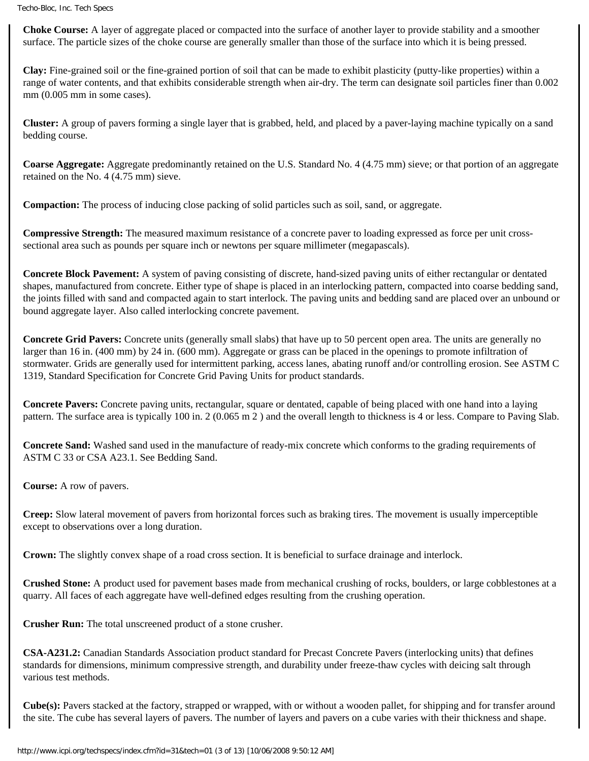**Choke Course:** A layer of aggregate placed or compacted into the surface of another layer to provide stability and a smoother surface. The particle sizes of the choke course are generally smaller than those of the surface into which it is being pressed.

**Clay:** Fine-grained soil or the fine-grained portion of soil that can be made to exhibit plasticity (putty-like properties) within a range of water contents, and that exhibits considerable strength when air-dry. The term can designate soil particles finer than 0.002 mm (0.005 mm in some cases).

**Cluster:** A group of pavers forming a single layer that is grabbed, held, and placed by a paver-laying machine typically on a sand bedding course.

**Coarse Aggregate:** Aggregate predominantly retained on the U.S. Standard No. 4 (4.75 mm) sieve; or that portion of an aggregate retained on the No. 4 (4.75 mm) sieve.

**Compaction:** The process of inducing close packing of solid particles such as soil, sand, or aggregate.

**Compressive Strength:** The measured maximum resistance of a concrete paver to loading expressed as force per unit crosssectional area such as pounds per square inch or newtons per square millimeter (megapascals).

**Concrete Block Pavement:** A system of paving consisting of discrete, hand-sized paving units of either rectangular or dentated shapes, manufactured from concrete. Either type of shape is placed in an interlocking pattern, compacted into coarse bedding sand, the joints filled with sand and compacted again to start interlock. The paving units and bedding sand are placed over an unbound or bound aggregate layer. Also called interlocking concrete pavement.

**Concrete Grid Pavers:** Concrete units (generally small slabs) that have up to 50 percent open area. The units are generally no larger than 16 in. (400 mm) by 24 in. (600 mm). Aggregate or grass can be placed in the openings to promote infiltration of stormwater. Grids are generally used for intermittent parking, access lanes, abating runoff and/or controlling erosion. See ASTM C 1319, Standard Specification for Concrete Grid Paving Units for product standards.

**Concrete Pavers:** Concrete paving units, rectangular, square or dentated, capable of being placed with one hand into a laying pattern. The surface area is typically 100 in. 2 (0.065 m 2 ) and the overall length to thickness is 4 or less. Compare to Paving Slab.

**Concrete Sand:** Washed sand used in the manufacture of ready-mix concrete which conforms to the grading requirements of ASTM C 33 or CSA A23.1. See Bedding Sand.

**Course:** A row of pavers.

**Creep:** Slow lateral movement of pavers from horizontal forces such as braking tires. The movement is usually imperceptible except to observations over a long duration.

**Crown:** The slightly convex shape of a road cross section. It is beneficial to surface drainage and interlock.

**Crushed Stone:** A product used for pavement bases made from mechanical crushing of rocks, boulders, or large cobblestones at a quarry. All faces of each aggregate have well-defined edges resulting from the crushing operation.

**Crusher Run:** The total unscreened product of a stone crusher.

**CSA-A231.2:** Canadian Standards Association product standard for Precast Concrete Pavers (interlocking units) that defines standards for dimensions, minimum compressive strength, and durability under freeze-thaw cycles with deicing salt through various test methods.

**Cube(s):** Pavers stacked at the factory, strapped or wrapped, with or without a wooden pallet, for shipping and for transfer around the site. The cube has several layers of pavers. The number of layers and pavers on a cube varies with their thickness and shape.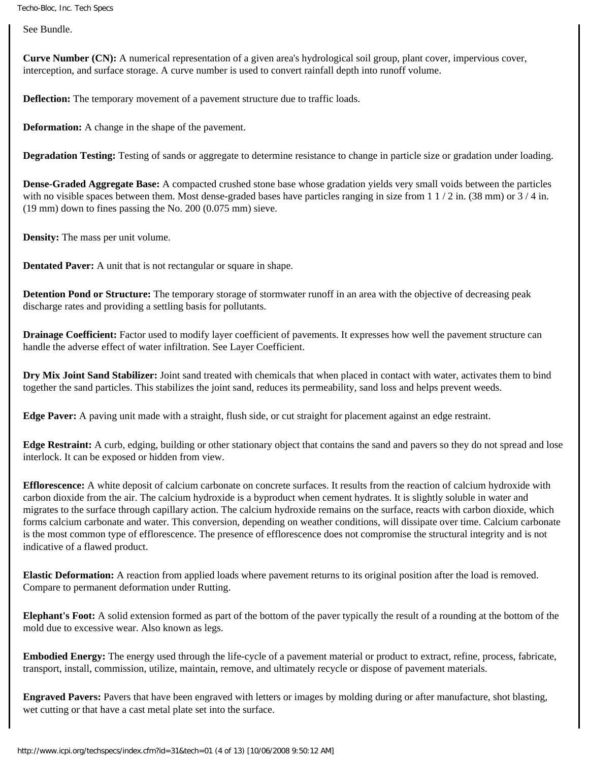See Bundle.

**Curve Number (CN):** A numerical representation of a given area's hydrological soil group, plant cover, impervious cover, interception, and surface storage. A curve number is used to convert rainfall depth into runoff volume.

**Deflection:** The temporary movement of a pavement structure due to traffic loads.

**Deformation:** A change in the shape of the pavement.

**Degradation Testing:** Testing of sands or aggregate to determine resistance to change in particle size or gradation under loading.

**Dense-Graded Aggregate Base:** A compacted crushed stone base whose gradation yields very small voids between the particles with no visible spaces between them. Most dense-graded bases have particles ranging in size from  $1/2$  in. (38 mm) or  $3/4$  in. (19 mm) down to fines passing the No. 200 (0.075 mm) sieve.

**Density:** The mass per unit volume.

**Dentated Paver:** A unit that is not rectangular or square in shape.

**Detention Pond or Structure:** The temporary storage of stormwater runoff in an area with the objective of decreasing peak discharge rates and providing a settling basis for pollutants.

**Drainage Coefficient:** Factor used to modify layer coefficient of pavements. It expresses how well the pavement structure can handle the adverse effect of water infiltration. See Layer Coefficient.

**Dry Mix Joint Sand Stabilizer:** Joint sand treated with chemicals that when placed in contact with water, activates them to bind together the sand particles. This stabilizes the joint sand, reduces its permeability, sand loss and helps prevent weeds.

**Edge Paver:** A paving unit made with a straight, flush side, or cut straight for placement against an edge restraint.

**Edge Restraint:** A curb, edging, building or other stationary object that contains the sand and pavers so they do not spread and lose interlock. It can be exposed or hidden from view.

**Efflorescence:** A white deposit of calcium carbonate on concrete surfaces. It results from the reaction of calcium hydroxide with carbon dioxide from the air. The calcium hydroxide is a byproduct when cement hydrates. It is slightly soluble in water and migrates to the surface through capillary action. The calcium hydroxide remains on the surface, reacts with carbon dioxide, which forms calcium carbonate and water. This conversion, depending on weather conditions, will dissipate over time. Calcium carbonate is the most common type of efflorescence. The presence of efflorescence does not compromise the structural integrity and is not indicative of a flawed product.

**Elastic Deformation:** A reaction from applied loads where pavement returns to its original position after the load is removed. Compare to permanent deformation under Rutting.

**Elephant's Foot:** A solid extension formed as part of the bottom of the paver typically the result of a rounding at the bottom of the mold due to excessive wear. Also known as legs.

**Embodied Energy:** The energy used through the life-cycle of a pavement material or product to extract, refine, process, fabricate, transport, install, commission, utilize, maintain, remove, and ultimately recycle or dispose of pavement materials.

**Engraved Pavers:** Pavers that have been engraved with letters or images by molding during or after manufacture, shot blasting, wet cutting or that have a cast metal plate set into the surface.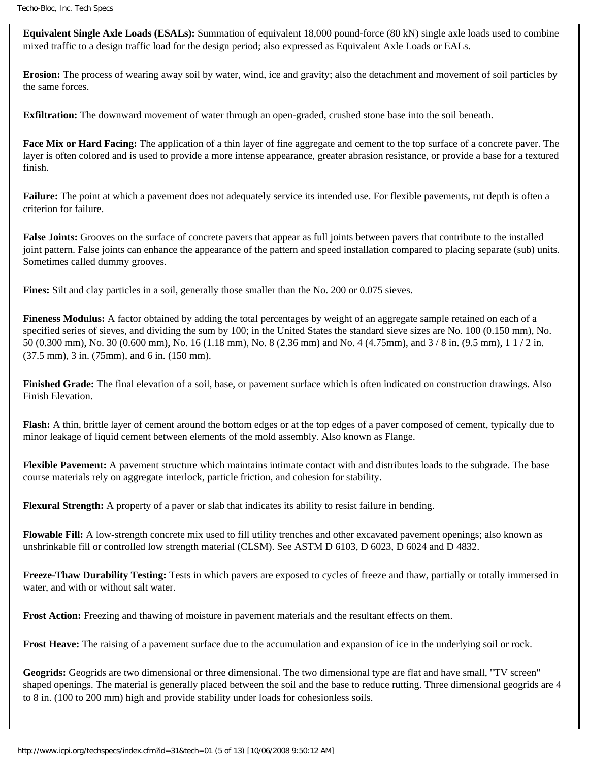**Equivalent Single Axle Loads (ESALs):** Summation of equivalent 18,000 pound-force (80 kN) single axle loads used to combine mixed traffic to a design traffic load for the design period; also expressed as Equivalent Axle Loads or EALs.

**Erosion:** The process of wearing away soil by water, wind, ice and gravity; also the detachment and movement of soil particles by the same forces.

**Exfiltration:** The downward movement of water through an open-graded, crushed stone base into the soil beneath.

**Face Mix or Hard Facing:** The application of a thin layer of fine aggregate and cement to the top surface of a concrete paver. The layer is often colored and is used to provide a more intense appearance, greater abrasion resistance, or provide a base for a textured finish.

**Failure:** The point at which a pavement does not adequately service its intended use. For flexible pavements, rut depth is often a criterion for failure.

**False Joints:** Grooves on the surface of concrete pavers that appear as full joints between pavers that contribute to the installed joint pattern. False joints can enhance the appearance of the pattern and speed installation compared to placing separate (sub) units. Sometimes called dummy grooves.

**Fines:** Silt and clay particles in a soil, generally those smaller than the No. 200 or 0.075 sieves.

**Fineness Modulus:** A factor obtained by adding the total percentages by weight of an aggregate sample retained on each of a specified series of sieves, and dividing the sum by 100; in the United States the standard sieve sizes are No. 100 (0.150 mm), No. 50 (0.300 mm), No. 30 (0.600 mm), No. 16 (1.18 mm), No. 8 (2.36 mm) and No. 4 (4.75mm), and 3 / 8 in. (9.5 mm), 1 1 / 2 in. (37.5 mm), 3 in. (75mm), and 6 in. (150 mm).

**Finished Grade:** The final elevation of a soil, base, or pavement surface which is often indicated on construction drawings. Also Finish Elevation.

**Flash:** A thin, brittle layer of cement around the bottom edges or at the top edges of a paver composed of cement, typically due to minor leakage of liquid cement between elements of the mold assembly. Also known as Flange.

**Flexible Pavement:** A pavement structure which maintains intimate contact with and distributes loads to the subgrade. The base course materials rely on aggregate interlock, particle friction, and cohesion for stability.

**Flexural Strength:** A property of a paver or slab that indicates its ability to resist failure in bending.

**Flowable Fill:** A low-strength concrete mix used to fill utility trenches and other excavated pavement openings; also known as unshrinkable fill or controlled low strength material (CLSM). See ASTM D 6103, D 6023, D 6024 and D 4832.

**Freeze-Thaw Durability Testing:** Tests in which pavers are exposed to cycles of freeze and thaw, partially or totally immersed in water, and with or without salt water.

**Frost Action:** Freezing and thawing of moisture in pavement materials and the resultant effects on them.

**Frost Heave:** The raising of a pavement surface due to the accumulation and expansion of ice in the underlying soil or rock.

**Geogrids:** Geogrids are two dimensional or three dimensional. The two dimensional type are flat and have small, "TV screen" shaped openings. The material is generally placed between the soil and the base to reduce rutting. Three dimensional geogrids are 4 to 8 in. (100 to 200 mm) high and provide stability under loads for cohesionless soils.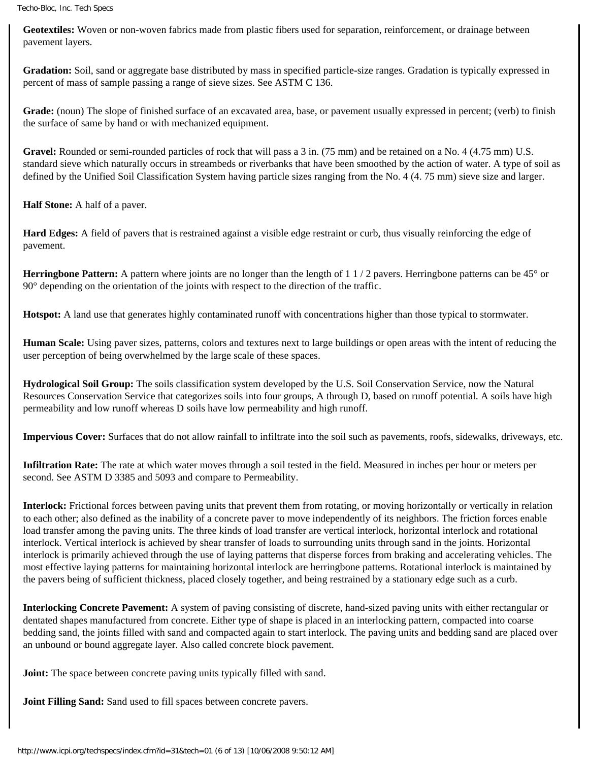**Geotextiles:** Woven or non-woven fabrics made from plastic fibers used for separation, reinforcement, or drainage between pavement layers.

**Gradation:** Soil, sand or aggregate base distributed by mass in specified particle-size ranges. Gradation is typically expressed in percent of mass of sample passing a range of sieve sizes. See ASTM C 136.

**Grade:** (noun) The slope of finished surface of an excavated area, base, or pavement usually expressed in percent; (verb) to finish the surface of same by hand or with mechanized equipment.

Gravel: Rounded or semi-rounded particles of rock that will pass a 3 in. (75 mm) and be retained on a No. 4 (4.75 mm) U.S. standard sieve which naturally occurs in streambeds or riverbanks that have been smoothed by the action of water. A type of soil as defined by the Unified Soil Classification System having particle sizes ranging from the No. 4 (4. 75 mm) sieve size and larger.

**Half Stone:** A half of a paver.

**Hard Edges:** A field of pavers that is restrained against a visible edge restraint or curb, thus visually reinforcing the edge of pavement.

**Herringbone Pattern:** A pattern where joints are no longer than the length of 1 1/2 pavers. Herringbone patterns can be 45° or 90° depending on the orientation of the joints with respect to the direction of the traffic.

**Hotspot:** A land use that generates highly contaminated runoff with concentrations higher than those typical to stormwater.

**Human Scale:** Using paver sizes, patterns, colors and textures next to large buildings or open areas with the intent of reducing the user perception of being overwhelmed by the large scale of these spaces.

**Hydrological Soil Group:** The soils classification system developed by the U.S. Soil Conservation Service, now the Natural Resources Conservation Service that categorizes soils into four groups, A through D, based on runoff potential. A soils have high permeability and low runoff whereas D soils have low permeability and high runoff.

**Impervious Cover:** Surfaces that do not allow rainfall to infiltrate into the soil such as pavements, roofs, sidewalks, driveways, etc.

**Infiltration Rate:** The rate at which water moves through a soil tested in the field. Measured in inches per hour or meters per second. See ASTM D 3385 and 5093 and compare to Permeability.

**Interlock:** Frictional forces between paving units that prevent them from rotating, or moving horizontally or vertically in relation to each other; also defined as the inability of a concrete paver to move independently of its neighbors. The friction forces enable load transfer among the paving units. The three kinds of load transfer are vertical interlock, horizontal interlock and rotational interlock. Vertical interlock is achieved by shear transfer of loads to surrounding units through sand in the joints. Horizontal interlock is primarily achieved through the use of laying patterns that disperse forces from braking and accelerating vehicles. The most effective laying patterns for maintaining horizontal interlock are herringbone patterns. Rotational interlock is maintained by the pavers being of sufficient thickness, placed closely together, and being restrained by a stationary edge such as a curb.

**Interlocking Concrete Pavement:** A system of paving consisting of discrete, hand-sized paving units with either rectangular or dentated shapes manufactured from concrete. Either type of shape is placed in an interlocking pattern, compacted into coarse bedding sand, the joints filled with sand and compacted again to start interlock. The paving units and bedding sand are placed over an unbound or bound aggregate layer. Also called concrete block pavement.

**Joint:** The space between concrete paving units typically filled with sand.

**Joint Filling Sand:** Sand used to fill spaces between concrete pavers.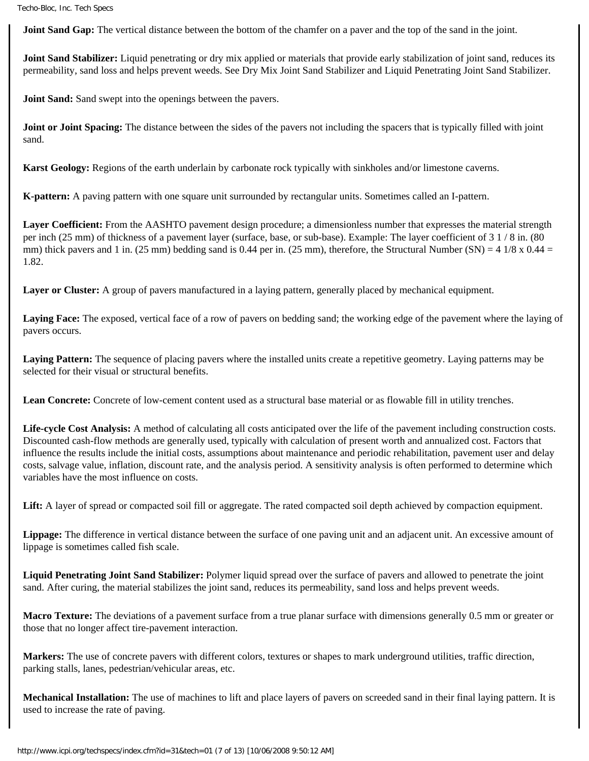**Joint Sand Gap:** The vertical distance between the bottom of the chamfer on a paver and the top of the sand in the joint.

**Joint Sand Stabilizer:** Liquid penetrating or dry mix applied or materials that provide early stabilization of joint sand, reduces its permeability, sand loss and helps prevent weeds. See Dry Mix Joint Sand Stabilizer and Liquid Penetrating Joint Sand Stabilizer.

**Joint Sand:** Sand swept into the openings between the pavers.

**Joint or Joint Spacing:** The distance between the sides of the pavers not including the spacers that is typically filled with joint sand.

**Karst Geology:** Regions of the earth underlain by carbonate rock typically with sinkholes and/or limestone caverns.

**K-pattern:** A paving pattern with one square unit surrounded by rectangular units. Sometimes called an I-pattern.

**Layer Coefficient:** From the AASHTO pavement design procedure; a dimensionless number that expresses the material strength per inch (25 mm) of thickness of a pavement layer (surface, base, or sub-base). Example: The layer coefficient of 3 1 / 8 in. (80 mm) thick pavers and 1 in. (25 mm) bedding sand is 0.44 per in. (25 mm), therefore, the Structural Number (SN) = 4 1/8 x 0.44 = 1.82.

**Layer or Cluster:** A group of pavers manufactured in a laying pattern, generally placed by mechanical equipment.

Laying Face: The exposed, vertical face of a row of pavers on bedding sand; the working edge of the pavement where the laying of pavers occurs.

**Laying Pattern:** The sequence of placing pavers where the installed units create a repetitive geometry. Laying patterns may be selected for their visual or structural benefits.

Lean Concrete: Concrete of low-cement content used as a structural base material or as flowable fill in utility trenches.

**Life-cycle Cost Analysis:** A method of calculating all costs anticipated over the life of the pavement including construction costs. Discounted cash-flow methods are generally used, typically with calculation of present worth and annualized cost. Factors that influence the results include the initial costs, assumptions about maintenance and periodic rehabilitation, pavement user and delay costs, salvage value, inflation, discount rate, and the analysis period. A sensitivity analysis is often performed to determine which variables have the most influence on costs.

**Lift:** A layer of spread or compacted soil fill or aggregate. The rated compacted soil depth achieved by compaction equipment.

**Lippage:** The difference in vertical distance between the surface of one paving unit and an adjacent unit. An excessive amount of lippage is sometimes called fish scale.

**Liquid Penetrating Joint Sand Stabilizer:** Polymer liquid spread over the surface of pavers and allowed to penetrate the joint sand. After curing, the material stabilizes the joint sand, reduces its permeability, sand loss and helps prevent weeds.

**Macro Texture:** The deviations of a pavement surface from a true planar surface with dimensions generally 0.5 mm or greater or those that no longer affect tire-pavement interaction.

**Markers:** The use of concrete pavers with different colors, textures or shapes to mark underground utilities, traffic direction, parking stalls, lanes, pedestrian/vehicular areas, etc.

**Mechanical Installation:** The use of machines to lift and place layers of pavers on screeded sand in their final laying pattern. It is used to increase the rate of paving.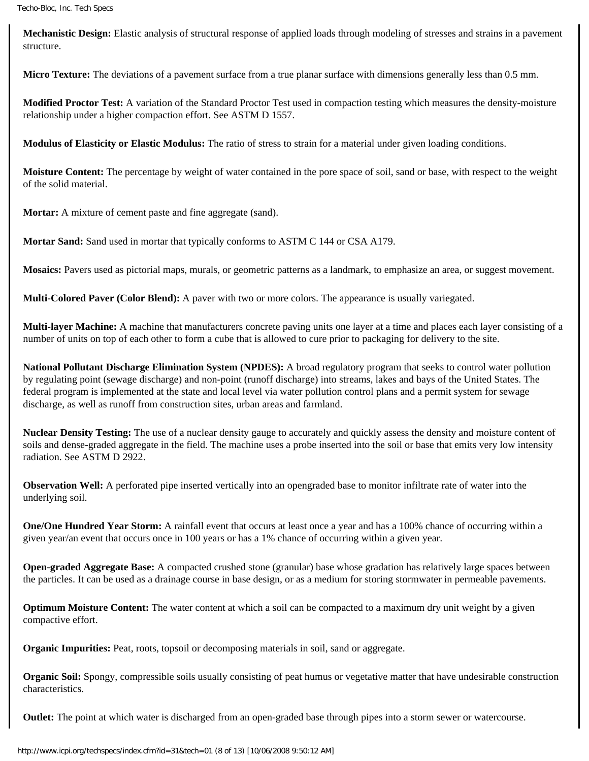**Mechanistic Design:** Elastic analysis of structural response of applied loads through modeling of stresses and strains in a pavement structure.

**Micro Texture:** The deviations of a pavement surface from a true planar surface with dimensions generally less than 0.5 mm.

**Modified Proctor Test:** A variation of the Standard Proctor Test used in compaction testing which measures the density-moisture relationship under a higher compaction effort. See ASTM D 1557.

**Modulus of Elasticity or Elastic Modulus:** The ratio of stress to strain for a material under given loading conditions.

**Moisture Content:** The percentage by weight of water contained in the pore space of soil, sand or base, with respect to the weight of the solid material.

**Mortar:** A mixture of cement paste and fine aggregate (sand).

**Mortar Sand:** Sand used in mortar that typically conforms to ASTM C 144 or CSA A179.

**Mosaics:** Pavers used as pictorial maps, murals, or geometric patterns as a landmark, to emphasize an area, or suggest movement.

**Multi-Colored Paver (Color Blend):** A paver with two or more colors. The appearance is usually variegated.

**Multi-layer Machine:** A machine that manufacturers concrete paving units one layer at a time and places each layer consisting of a number of units on top of each other to form a cube that is allowed to cure prior to packaging for delivery to the site.

**National Pollutant Discharge Elimination System (NPDES):** A broad regulatory program that seeks to control water pollution by regulating point (sewage discharge) and non-point (runoff discharge) into streams, lakes and bays of the United States. The federal program is implemented at the state and local level via water pollution control plans and a permit system for sewage discharge, as well as runoff from construction sites, urban areas and farmland.

**Nuclear Density Testing:** The use of a nuclear density gauge to accurately and quickly assess the density and moisture content of soils and dense-graded aggregate in the field. The machine uses a probe inserted into the soil or base that emits very low intensity radiation. See ASTM D 2922.

**Observation Well:** A perforated pipe inserted vertically into an opengraded base to monitor infiltrate rate of water into the underlying soil.

**One/One Hundred Year Storm:** A rainfall event that occurs at least once a year and has a 100% chance of occurring within a given year/an event that occurs once in 100 years or has a 1% chance of occurring within a given year.

**Open-graded Aggregate Base:** A compacted crushed stone (granular) base whose gradation has relatively large spaces between the particles. It can be used as a drainage course in base design, or as a medium for storing stormwater in permeable pavements.

**Optimum Moisture Content:** The water content at which a soil can be compacted to a maximum dry unit weight by a given compactive effort.

**Organic Impurities:** Peat, roots, topsoil or decomposing materials in soil, sand or aggregate.

**Organic Soil:** Spongy, compressible soils usually consisting of peat humus or vegetative matter that have undesirable construction characteristics.

**Outlet:** The point at which water is discharged from an open-graded base through pipes into a storm sewer or watercourse.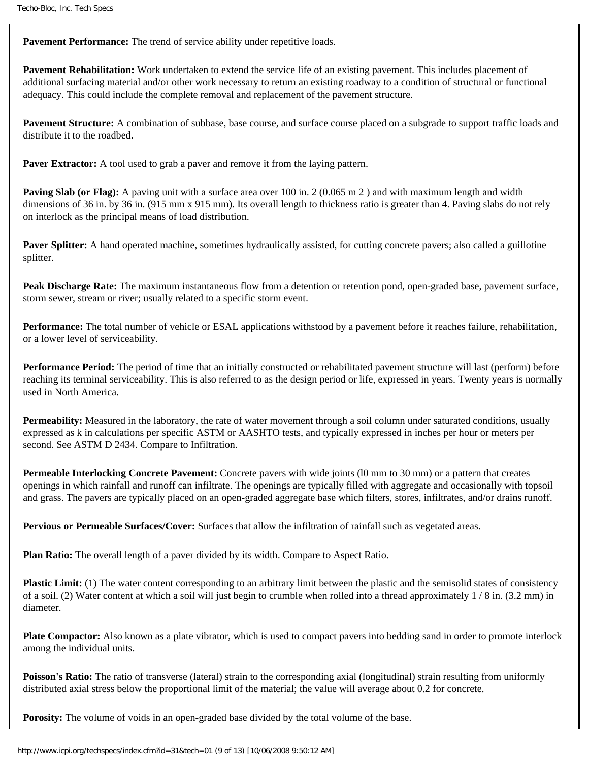Pavement Performance: The trend of service ability under repetitive loads.

**Pavement Rehabilitation:** Work undertaken to extend the service life of an existing pavement. This includes placement of additional surfacing material and/or other work necessary to return an existing roadway to a condition of structural or functional adequacy. This could include the complete removal and replacement of the pavement structure.

**Pavement Structure:** A combination of subbase, base course, and surface course placed on a subgrade to support traffic loads and distribute it to the roadbed.

**Paver Extractor:** A tool used to grab a paver and remove it from the laying pattern.

**Paving Slab (or Flag):** A paving unit with a surface area over 100 in. 2 (0.065 m 2) and with maximum length and width dimensions of 36 in. by 36 in. (915 mm x 915 mm). Its overall length to thickness ratio is greater than 4. Paving slabs do not rely on interlock as the principal means of load distribution.

**Paver Splitter:** A hand operated machine, sometimes hydraulically assisted, for cutting concrete pavers; also called a guillotine splitter.

**Peak Discharge Rate:** The maximum instantaneous flow from a detention or retention pond, open-graded base, pavement surface, storm sewer, stream or river; usually related to a specific storm event.

**Performance:** The total number of vehicle or ESAL applications withstood by a pavement before it reaches failure, rehabilitation, or a lower level of serviceability.

**Performance Period:** The period of time that an initially constructed or rehabilitated pavement structure will last (perform) before reaching its terminal serviceability. This is also referred to as the design period or life, expressed in years. Twenty years is normally used in North America.

**Permeability:** Measured in the laboratory, the rate of water movement through a soil column under saturated conditions, usually expressed as k in calculations per specific ASTM or AASHTO tests, and typically expressed in inches per hour or meters per second. See ASTM D 2434. Compare to Infiltration.

**Permeable Interlocking Concrete Pavement:** Concrete pavers with wide joints (l0 mm to 30 mm) or a pattern that creates openings in which rainfall and runoff can infiltrate. The openings are typically filled with aggregate and occasionally with topsoil and grass. The pavers are typically placed on an open-graded aggregate base which filters, stores, infiltrates, and/or drains runoff.

**Pervious or Permeable Surfaces/Cover:** Surfaces that allow the infiltration of rainfall such as vegetated areas.

**Plan Ratio:** The overall length of a paver divided by its width. Compare to Aspect Ratio.

**Plastic Limit:** (1) The water content corresponding to an arbitrary limit between the plastic and the semisolid states of consistency of a soil. (2) Water content at which a soil will just begin to crumble when rolled into a thread approximately  $1/8$  in. (3.2 mm) in diameter.

**Plate Compactor:** Also known as a plate vibrator, which is used to compact pavers into bedding sand in order to promote interlock among the individual units.

**Poisson's Ratio:** The ratio of transverse (lateral) strain to the corresponding axial (longitudinal) strain resulting from uniformly distributed axial stress below the proportional limit of the material; the value will average about 0.2 for concrete.

**Porosity:** The volume of voids in an open-graded base divided by the total volume of the base.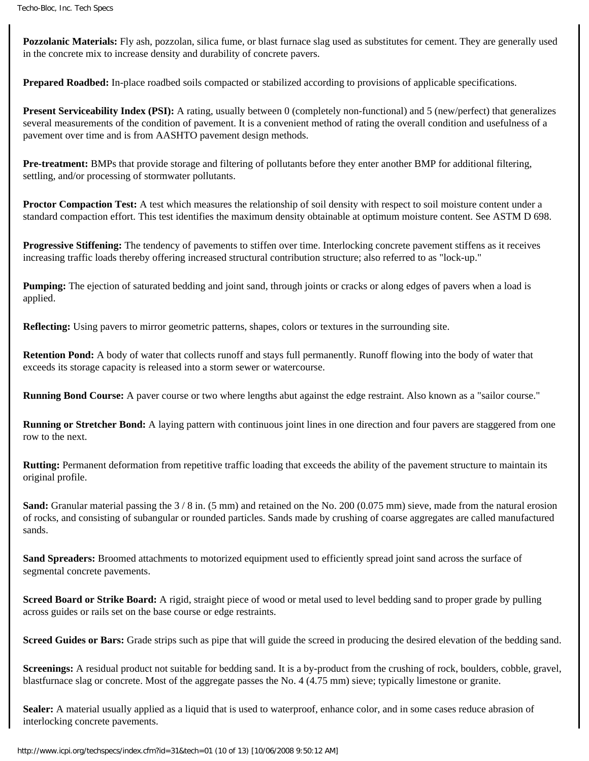**Pozzolanic Materials:** Fly ash, pozzolan, silica fume, or blast furnace slag used as substitutes for cement. They are generally used in the concrete mix to increase density and durability of concrete pavers.

**Prepared Roadbed:** In-place roadbed soils compacted or stabilized according to provisions of applicable specifications.

**Present Serviceability Index (PSI):** A rating, usually between 0 (completely non-functional) and 5 (new/perfect) that generalizes several measurements of the condition of pavement. It is a convenient method of rating the overall condition and usefulness of a pavement over time and is from AASHTO pavement design methods.

**Pre-treatment:** BMPs that provide storage and filtering of pollutants before they enter another BMP for additional filtering, settling, and/or processing of stormwater pollutants.

**Proctor Compaction Test:** A test which measures the relationship of soil density with respect to soil moisture content under a standard compaction effort. This test identifies the maximum density obtainable at optimum moisture content. See ASTM D 698.

**Progressive Stiffening:** The tendency of pavements to stiffen over time. Interlocking concrete pavement stiffens as it receives increasing traffic loads thereby offering increased structural contribution structure; also referred to as "lock-up."

**Pumping:** The ejection of saturated bedding and joint sand, through joints or cracks or along edges of pavers when a load is applied.

**Reflecting:** Using pavers to mirror geometric patterns, shapes, colors or textures in the surrounding site.

**Retention Pond:** A body of water that collects runoff and stays full permanently. Runoff flowing into the body of water that exceeds its storage capacity is released into a storm sewer or watercourse.

**Running Bond Course:** A paver course or two where lengths abut against the edge restraint. Also known as a "sailor course."

**Running or Stretcher Bond:** A laying pattern with continuous joint lines in one direction and four pavers are staggered from one row to the next.

**Rutting:** Permanent deformation from repetitive traffic loading that exceeds the ability of the pavement structure to maintain its original profile.

**Sand:** Granular material passing the  $3/8$  in. (5 mm) and retained on the No. 200 (0.075 mm) sieve, made from the natural erosion of rocks, and consisting of subangular or rounded particles. Sands made by crushing of coarse aggregates are called manufactured sands.

**Sand Spreaders:** Broomed attachments to motorized equipment used to efficiently spread joint sand across the surface of segmental concrete pavements.

**Screed Board or Strike Board:** A rigid, straight piece of wood or metal used to level bedding sand to proper grade by pulling across guides or rails set on the base course or edge restraints.

**Screed Guides or Bars:** Grade strips such as pipe that will guide the screed in producing the desired elevation of the bedding sand.

**Screenings:** A residual product not suitable for bedding sand. It is a by-product from the crushing of rock, boulders, cobble, gravel, blastfurnace slag or concrete. Most of the aggregate passes the No. 4 (4.75 mm) sieve; typically limestone or granite.

**Sealer:** A material usually applied as a liquid that is used to waterproof, enhance color, and in some cases reduce abrasion of interlocking concrete pavements.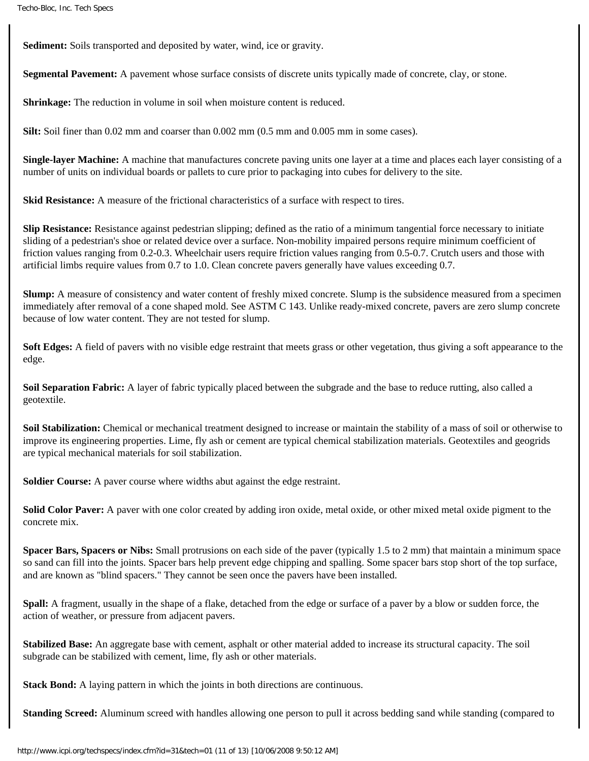**Sediment:** Soils transported and deposited by water, wind, ice or gravity.

**Segmental Pavement:** A pavement whose surface consists of discrete units typically made of concrete, clay, or stone.

**Shrinkage:** The reduction in volume in soil when moisture content is reduced.

**Silt:** Soil finer than 0.02 mm and coarser than 0.002 mm (0.5 mm and 0.005 mm in some cases).

**Single-layer Machine:** A machine that manufactures concrete paving units one layer at a time and places each layer consisting of a number of units on individual boards or pallets to cure prior to packaging into cubes for delivery to the site.

**Skid Resistance:** A measure of the frictional characteristics of a surface with respect to tires.

**Slip Resistance:** Resistance against pedestrian slipping; defined as the ratio of a minimum tangential force necessary to initiate sliding of a pedestrian's shoe or related device over a surface. Non-mobility impaired persons require minimum coefficient of friction values ranging from 0.2-0.3. Wheelchair users require friction values ranging from 0.5-0.7. Crutch users and those with artificial limbs require values from 0.7 to 1.0. Clean concrete pavers generally have values exceeding 0.7.

**Slump:** A measure of consistency and water content of freshly mixed concrete. Slump is the subsidence measured from a specimen immediately after removal of a cone shaped mold. See ASTM C 143. Unlike ready-mixed concrete, pavers are zero slump concrete because of low water content. They are not tested for slump.

**Soft Edges:** A field of pavers with no visible edge restraint that meets grass or other vegetation, thus giving a soft appearance to the edge.

**Soil Separation Fabric:** A layer of fabric typically placed between the subgrade and the base to reduce rutting, also called a geotextile.

Soil Stabilization: Chemical or mechanical treatment designed to increase or maintain the stability of a mass of soil or otherwise to improve its engineering properties. Lime, fly ash or cement are typical chemical stabilization materials. Geotextiles and geogrids are typical mechanical materials for soil stabilization.

**Soldier Course:** A paver course where widths abut against the edge restraint.

**Solid Color Paver:** A paver with one color created by adding iron oxide, metal oxide, or other mixed metal oxide pigment to the concrete mix.

**Spacer Bars, Spacers or Nibs:** Small protrusions on each side of the paver (typically 1.5 to 2 mm) that maintain a minimum space so sand can fill into the joints. Spacer bars help prevent edge chipping and spalling. Some spacer bars stop short of the top surface, and are known as "blind spacers." They cannot be seen once the pavers have been installed.

**Spall:** A fragment, usually in the shape of a flake, detached from the edge or surface of a paver by a blow or sudden force, the action of weather, or pressure from adjacent pavers.

**Stabilized Base:** An aggregate base with cement, asphalt or other material added to increase its structural capacity. The soil subgrade can be stabilized with cement, lime, fly ash or other materials.

**Stack Bond:** A laying pattern in which the joints in both directions are continuous.

**Standing Screed:** Aluminum screed with handles allowing one person to pull it across bedding sand while standing (compared to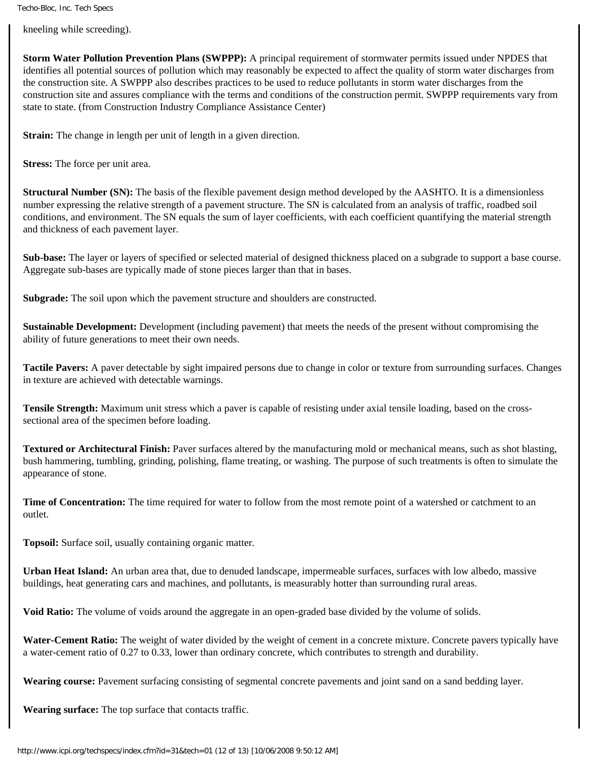kneeling while screeding).

**Storm Water Pollution Prevention Plans (SWPPP):** A principal requirement of stormwater permits issued under NPDES that identifies all potential sources of pollution which may reasonably be expected to affect the quality of storm water discharges from the construction site. A SWPPP also describes practices to be used to reduce pollutants in storm water discharges from the construction site and assures compliance with the terms and conditions of the construction permit. SWPPP requirements vary from state to state. (from Construction Industry Compliance Assistance Center)

**Strain:** The change in length per unit of length in a given direction.

**Stress:** The force per unit area.

**Structural Number (SN):** The basis of the flexible pavement design method developed by the AASHTO. It is a dimensionless number expressing the relative strength of a pavement structure. The SN is calculated from an analysis of traffic, roadbed soil conditions, and environment. The SN equals the sum of layer coefficients, with each coefficient quantifying the material strength and thickness of each pavement layer.

**Sub-base:** The layer or layers of specified or selected material of designed thickness placed on a subgrade to support a base course. Aggregate sub-bases are typically made of stone pieces larger than that in bases.

**Subgrade:** The soil upon which the pavement structure and shoulders are constructed.

**Sustainable Development:** Development (including pavement) that meets the needs of the present without compromising the ability of future generations to meet their own needs.

**Tactile Pavers:** A paver detectable by sight impaired persons due to change in color or texture from surrounding surfaces. Changes in texture are achieved with detectable warnings.

**Tensile Strength:** Maximum unit stress which a paver is capable of resisting under axial tensile loading, based on the crosssectional area of the specimen before loading.

**Textured or Architectural Finish:** Paver surfaces altered by the manufacturing mold or mechanical means, such as shot blasting, bush hammering, tumbling, grinding, polishing, flame treating, or washing. The purpose of such treatments is often to simulate the appearance of stone.

**Time of Concentration:** The time required for water to follow from the most remote point of a watershed or catchment to an outlet.

**Topsoil:** Surface soil, usually containing organic matter.

**Urban Heat Island:** An urban area that, due to denuded landscape, impermeable surfaces, surfaces with low albedo, massive buildings, heat generating cars and machines, and pollutants, is measurably hotter than surrounding rural areas.

**Void Ratio:** The volume of voids around the aggregate in an open-graded base divided by the volume of solids.

**Water-Cement Ratio:** The weight of water divided by the weight of cement in a concrete mixture. Concrete pavers typically have a water-cement ratio of 0.27 to 0.33, lower than ordinary concrete, which contributes to strength and durability.

**Wearing course:** Pavement surfacing consisting of segmental concrete pavements and joint sand on a sand bedding layer.

**Wearing surface:** The top surface that contacts traffic.